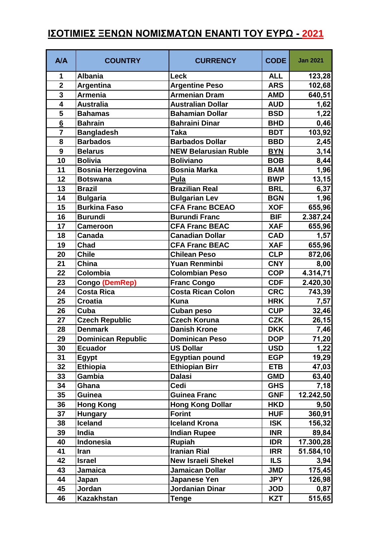## **ΙΣΟΤΙΜΙΕΣ ΞΕΝΩΝ ΝΟΜΙΣΜΑΤΩΝ ΕΝΑΝΤΙ ΤΟΥ ΕΥΡΩ - 2021**

| A/A                     | <b>COUNTRY</b>            | <b>CURRENCY</b>             | <b>CODE</b> | <b>Jan 2021</b> |
|-------------------------|---------------------------|-----------------------------|-------------|-----------------|
| 1                       | <b>Albania</b>            | Leck                        | <b>ALL</b>  | 123,28          |
| $\overline{\mathbf{2}}$ | <b>Argentina</b>          | <b>Argentine Peso</b>       | <b>ARS</b>  | 102,68          |
| $\overline{3}$          | <b>Armenia</b>            | <b>Armenian Dram</b>        | <b>AMD</b>  | 640,51          |
| 4                       | <b>Australia</b>          | <b>Australian Dollar</b>    | <b>AUD</b>  | 1,62            |
| 5                       | <b>Bahamas</b>            | <b>Bahamian Dollar</b>      | <b>BSD</b>  | 1,22            |
| $6\phantom{1}6$         | <b>Bahrain</b>            | <b>Bahraini Dinar</b>       | <b>BHD</b>  | 0,46            |
| 7                       | <b>Bangladesh</b>         | <b>Taka</b>                 | <b>BDT</b>  | 103,92          |
| 8                       | <b>Barbados</b>           | <b>Barbados Dollar</b>      | <b>BBD</b>  | 2,45            |
| 9                       | <b>Belarus</b>            | <b>NEW Belarusian Ruble</b> | <b>BYN</b>  | 3,14            |
| 10                      | <b>Bolivia</b>            | <b>Boliviano</b>            | <b>BOB</b>  | 8,44            |
| 11                      | <b>Bosnia Herzegovina</b> | <b>Bosnia Marka</b>         | <b>BAM</b>  | 1,96            |
| 12                      | <b>Botswana</b>           | <b>Pula</b>                 | <b>BWP</b>  | 13,15           |
| 13                      | <b>Brazil</b>             | <b>Brazilian Real</b>       | <b>BRL</b>  | 6,37            |
| 14                      | <b>Bulgaria</b>           | <b>Bulgarian Lev</b>        | <b>BGN</b>  | 1,96            |
| 15                      | <b>Burkina Faso</b>       | <b>CFA Franc BCEAO</b>      | <b>XOF</b>  | 655,96          |
| 16                      | <b>Burundi</b>            | <b>Burundi Franc</b>        | <b>BIF</b>  | 2.387,24        |
| 17                      | <b>Cameroon</b>           | <b>CFA Franc BEAC</b>       | <b>XAF</b>  | 655,96          |
| 18                      | Canada                    | <b>Canadian Dollar</b>      | <b>CAD</b>  | 1,57            |
| 19                      | Chad                      | <b>CFA Franc BEAC</b>       | <b>XAF</b>  | 655,96          |
| 20                      | <b>Chile</b>              | <b>Chilean Peso</b>         | <b>CLP</b>  | 872,06          |
| 21                      | China                     | <b>Yuan Renminbi</b>        | <b>CNY</b>  | 8,00            |
| 22                      | Colombia                  | <b>Colombian Peso</b>       | <b>COP</b>  | 4.314,71        |
| 23                      | Congo (DemRep)            | <b>Franc Congo</b>          | <b>CDF</b>  | 2.420,30        |
| 24                      | <b>Costa Rica</b>         | <b>Costa Rican Colon</b>    | <b>CRC</b>  | 743,39          |
| 25                      | <b>Croatia</b>            | <b>Kuna</b>                 | <b>HRK</b>  | 7,57            |
| 26                      | Cuba                      | <b>Cuban peso</b>           | <b>CUP</b>  | 32,46           |
| 27                      | <b>Czech Republic</b>     | <b>Czech Koruna</b>         | <b>CZK</b>  | 26,15           |
| 28                      | <b>Denmark</b>            | <b>Danish Krone</b>         | <b>DKK</b>  | 7,46            |
| 29                      | <b>Dominican Republic</b> | <b>Dominican Peso</b>       | <b>DOP</b>  | 71,20           |
| 30                      | <b>Ecuador</b>            | <b>US Dollar</b>            | <b>USD</b>  | 1,22            |
| 31                      | Egypt                     | <b>Egyptian pound</b>       | <b>EGP</b>  | 19,29           |
| 32                      | <b>Ethiopia</b>           | <b>Ethiopian Birr</b>       | <b>ETB</b>  | 47,03           |
| 33                      | Gambia                    | <b>Dalasi</b>               | <b>GMD</b>  | 63,40           |
| 34                      | Ghana                     | <b>Cedi</b>                 | <b>GHS</b>  | 7,18            |
| 35                      | <b>Guinea</b>             | <b>Guinea Franc</b>         | <b>GNF</b>  | 12.242,50       |
| 36                      | <b>Hong Kong</b>          | <b>Hong Kong Dollar</b>     | <b>HKD</b>  | 9,50            |
| 37                      | <b>Hungary</b>            | <b>Forint</b>               | <b>HUF</b>  | 360,91          |
| 38                      | <b>Iceland</b>            | <b>Iceland Krona</b>        | <b>ISK</b>  | 156,32          |
| 39                      | India                     | <b>Indian Rupee</b>         | <b>INR</b>  | 89,84           |
| 40                      | <b>Indonesia</b>          | <b>Rupiah</b>               | <b>IDR</b>  | 17.300,28       |
| 41                      | Iran                      | <b>Iranian Rial</b>         | <b>IRR</b>  | 51.584,10       |
| 42                      | <b>Israel</b>             | <b>New Israeli Shekel</b>   | <b>ILS</b>  | 3,94            |
| 43                      | <b>Jamaica</b>            | <b>Jamaican Dollar</b>      | <b>JMD</b>  | 175,45          |
| 44                      | Japan                     | Japanese Yen                | <b>JPY</b>  | 126,98          |
| 45                      | Jordan                    | Jordanian Dinar             | <b>JOD</b>  | 0,87            |
| 46                      | <b>Kazakhstan</b>         | <b>Tenge</b>                | <b>KZT</b>  | 515,65          |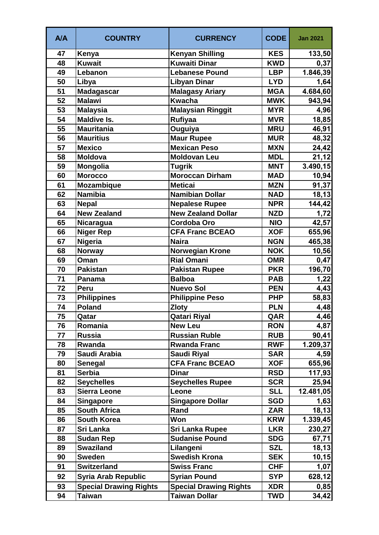| A/A | <b>COUNTRY</b>                | <b>CURRENCY</b>               | <b>CODE</b> | <b>Jan 2021</b> |
|-----|-------------------------------|-------------------------------|-------------|-----------------|
| 47  | Kenya                         | <b>Kenyan Shilling</b>        | <b>KES</b>  | 133,50          |
| 48  | <b>Kuwait</b>                 | <b>Kuwaiti Dinar</b>          | <b>KWD</b>  | 0,37            |
| 49  | Lebanon                       | <b>Lebanese Pound</b>         | <b>LBP</b>  | 1.846,39        |
| 50  | Libya                         | <b>Libyan Dinar</b>           | <b>LYD</b>  | 1,64            |
| 51  | <b>Madagascar</b>             | <b>Malagasy Ariary</b>        | <b>MGA</b>  | 4.684,60        |
| 52  | <b>Malawi</b>                 | <b>Kwacha</b>                 | <b>MWK</b>  | 943,94          |
| 53  | <b>Malaysia</b>               | <b>Malaysian Ringgit</b>      | <b>MYR</b>  | 4,96            |
| 54  | <b>Maldive Is.</b>            | <b>Rufiyaa</b>                | <b>MVR</b>  | 18,85           |
| 55  | <b>Mauritania</b>             | Ouguiya                       | <b>MRU</b>  | 46,91           |
| 56  | <b>Mauritius</b>              | <b>Maur Rupee</b>             | <b>MUR</b>  | 48,32           |
| 57  | <b>Mexico</b>                 | <b>Mexican Peso</b>           | <b>MXN</b>  | 24,42           |
| 58  | <b>Moldova</b>                | <b>Moldovan Leu</b>           | <b>MDL</b>  | 21,12           |
| 59  | <b>Mongolia</b>               | <b>Tugrik</b>                 | <b>MNT</b>  | 3.490, 15       |
| 60  | <b>Morocco</b>                | <b>Moroccan Dirham</b>        | <b>MAD</b>  | 10,94           |
| 61  | <b>Mozambique</b>             | <b>Meticai</b>                | <b>MZN</b>  | 91,37           |
| 62  | <b>Namibia</b>                | <b>Namibian Dollar</b>        | <b>NAD</b>  | 18, 13          |
| 63  | <b>Nepal</b>                  | <b>Nepalese Rupee</b>         | <b>NPR</b>  | 144,42          |
| 64  | <b>New Zealand</b>            | <b>New Zealand Dollar</b>     | <b>NZD</b>  | 1,72            |
| 65  | Nicaragua                     | <b>Cordoba Oro</b>            | <b>NIO</b>  | 42,57           |
| 66  | <b>Niger Rep</b>              | <b>CFA Franc BCEAO</b>        | <b>XOF</b>  | 655,96          |
| 67  | Nigeria                       | <b>Naira</b>                  | <b>NGN</b>  | 465,38          |
| 68  | <b>Norway</b>                 | <b>Norwegian Krone</b>        | <b>NOK</b>  | 10,56           |
| 69  | Oman                          | <b>Rial Omani</b>             | <b>OMR</b>  | 0,47            |
| 70  | <b>Pakistan</b>               | <b>Pakistan Rupee</b>         | <b>PKR</b>  | 196,70          |
| 71  | Panama                        | <b>Balboa</b>                 | <b>PAB</b>  | 1,22            |
| 72  | Peru                          | <b>Nuevo Sol</b>              | <b>PEN</b>  | 4,43            |
| 73  | <b>Philippines</b>            | <b>Philippine Peso</b>        | <b>PHP</b>  | 58,83           |
| 74  | <b>Poland</b>                 | <b>Zloty</b>                  | <b>PLN</b>  | 4,48            |
| 75  | Qatar                         | Qatari Riyal                  | QAR         | 4,46            |
| 76  | Romania                       | <b>New Leu</b>                | <b>RON</b>  | 4,87            |
| 77  | <b>Russia</b>                 | <b>Russian Ruble</b>          | <b>RUB</b>  | 90,41           |
| 78  | Rwanda                        | <b>Rwanda Franc</b>           | <b>RWF</b>  | 1.209,37        |
| 79  | Saudi Arabia                  | <b>Saudi Riyal</b>            | <b>SAR</b>  | 4,59            |
| 80  | Senegal                       | <b>CFA Franc BCEAO</b>        | <b>XOF</b>  | 655,96          |
| 81  | <b>Serbia</b>                 | <b>Dinar</b>                  | <b>RSD</b>  | 117,93          |
| 82  | <b>Seychelles</b>             | <b>Seychelles Rupee</b>       | <b>SCR</b>  | 25,94           |
| 83  | <b>Sierra Leone</b>           | Leone                         | <b>SLL</b>  | 12.481,05       |
| 84  | <b>Singapore</b>              | <b>Singapore Dollar</b>       | <b>SGD</b>  | 1,63            |
| 85  | <b>South Africa</b>           | Rand                          | <b>ZAR</b>  | 18, 13          |
| 86  | <b>South Korea</b>            | Won                           | <b>KRW</b>  | 1.339,45        |
| 87  | Sri Lanka                     | <b>Sri Lanka Rupee</b>        | <b>LKR</b>  | 230,27          |
| 88  | <b>Sudan Rep</b>              | <b>Sudanise Pound</b>         | <b>SDG</b>  | 67,71           |
| 89  | <b>Swaziland</b>              | Lilangeni                     | <b>SZL</b>  | 18,13           |
| 90  | <b>Sweden</b>                 | <b>Swedish Krona</b>          | <b>SEK</b>  | 10, 15          |
| 91  | <b>Switzerland</b>            | <b>Swiss Franc</b>            | <b>CHF</b>  | 1,07            |
| 92  | <b>Syria Arab Republic</b>    | <b>Syrian Pound</b>           | <b>SYP</b>  | 628,12          |
| 93  | <b>Special Drawing Rights</b> | <b>Special Drawing Rights</b> | <b>XDR</b>  | 0,85            |
| 94  | <b>Taiwan</b>                 | <b>Taiwan Dollar</b>          | <b>TWD</b>  | 34,42           |